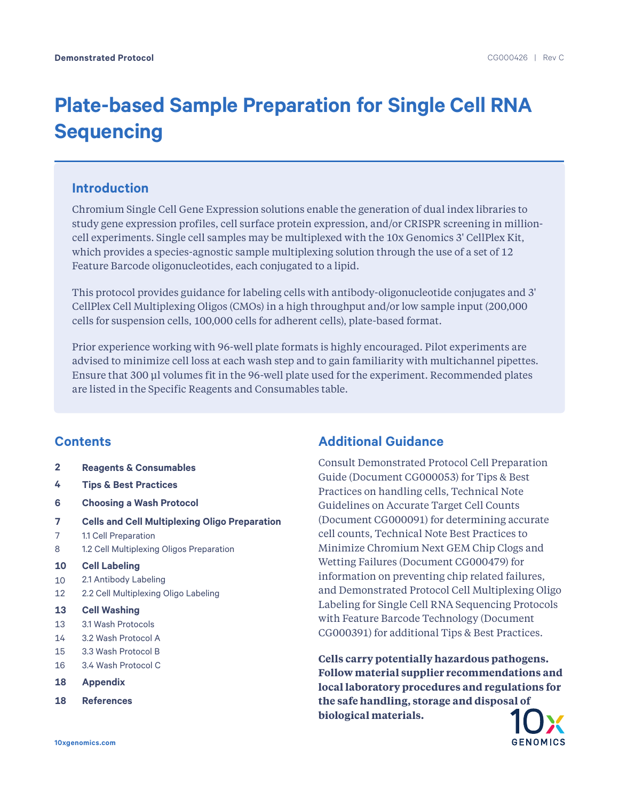# **Plate-based Sample Preparation for Single Cell RNA Sequencing**

## **Introduction**

Chromium Single Cell Gene Expression solutions enable the generation of dual index libraries to study gene expression profiles, cell surface protein expression, and/or CRISPR screening in millioncell experiments. Single cell samples may be multiplexed with the 10x Genomics 3' CellPlex Kit, which provides a species-agnostic sample multiplexing solution through the use of a set of 12 Feature Barcode oligonucleotides, each conjugated to a lipid.

This protocol provides guidance for labeling cells with antibody-oligonucleotide conjugates and 3' CellPlex Cell Multiplexing Oligos (CMOs) in a high throughput and/or low sample input (200,000 cells for suspension cells, 100,000 cells for adherent cells), plate-based format.

Prior experience working with 96-well plate formats is highly encouraged. Pilot experiments are advised to minimize cell loss at each wash step and to gain familiarity with multichannel pipettes. Ensure that 300 μl volumes fit in the 96-well plate used for the experiment. Recommended plates are listed in the Specific Reagents and Consumables table.

## **Contents**

- **2 Reagents & Consumables**
- **4 Tips & Best Practices**
- **6 Choosing a Wash Protocol**
- **7 Cells and Cell Multiplexing Oligo Preparation**
- 7 1.1 Cell Preparation
- 8 1.2 Cell Multiplexing Oligos Preparation
- **10 Cell Labeling**
- 10 2.1 Antibody Labeling
- 12 2.2 Cell Multiplexing Oligo Labeling
- **13 Cell Washing**
- 13 3.1 Wash Protocols
- 14 3.2 Wash Protocol A
- 15 3.3 Wash Protocol B
- 16 3.4 Wash Protocol C
- **18 Appendix**
- **18 References**

## **Additional Guidance**

Consult Demonstrated Protocol Cell Preparation Guide (Document CG000053) for Tips & Best Practices on handling cells, Technical Note Guidelines on Accurate Target Cell Counts (Document CG000091) for determining accurate cell counts, Technical Note Best Practices to Minimize Chromium Next GEM Chip Clogs and Wetting Failures (Document CG000479) for information on preventing chip related failures, and Demonstrated Protocol Cell Multiplexing Oligo Labeling for Single Cell RNA Sequencing Protocols with Feature Barcode Technology (Document CG000391) for additional Tips & Best Practices.

**Cells carry potentially hazardous pathogens. Follow material supplier recommendations and local laboratory procedures and regulations for the safe handling, storage and disposal of biological materials.**

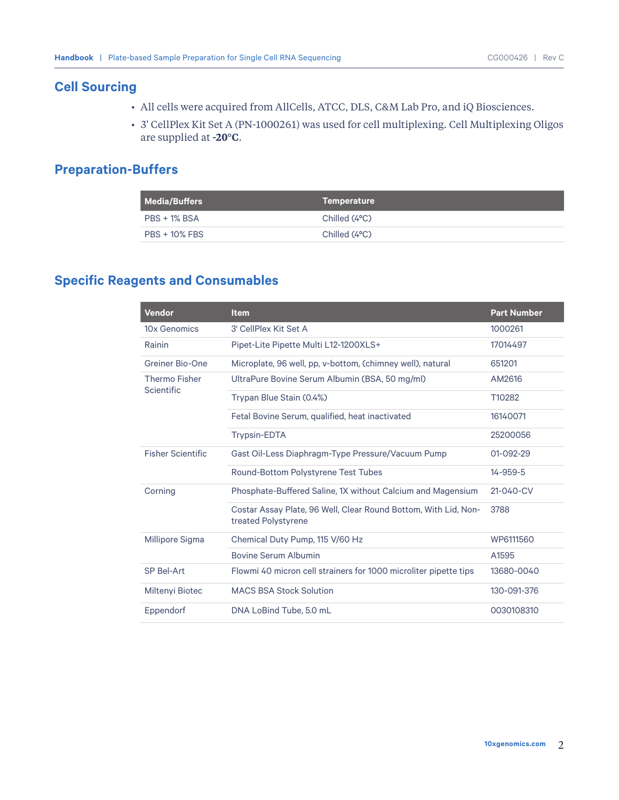## **Cell Sourcing**

- All cells were acquired from AllCells, ATCC, DLS, C&M Lab Pro, and iQ Biosciences.
- 3' CellPlex Kit Set A (PN-1000261) was used for cell multiplexing. Cell Multiplexing Oligos are supplied at **-20°C**.

## **Preparation-Buffers**

| Media/Buffers        | Temperature   |
|----------------------|---------------|
| PBS + 1% BSA         | Chilled (4°C) |
| <b>PBS + 10% FBS</b> | Chilled (4°C) |

## **Specific Reagents and Consumables**

| <b>Vendor</b>                             | <b>Item</b>                                                                            | <b>Part Number</b> |
|-------------------------------------------|----------------------------------------------------------------------------------------|--------------------|
| 10x Genomics                              | 3' CellPlex Kit Set A                                                                  | 1000261            |
| Rainin                                    | Pipet-Lite Pipette Multi L12-1200XLS+                                                  | 17014497           |
| Greiner Bio-One                           | Microplate, 96 well, pp. v-bottom, (chimney well), natural                             | 651201             |
| <b>Thermo Fisher</b><br><b>Scientific</b> | UltraPure Bovine Serum Albumin (BSA, 50 mg/ml)                                         | AM2616             |
|                                           | Trypan Blue Stain (0.4%)                                                               | T10282             |
|                                           | Fetal Bovine Serum, qualified, heat inactivated                                        | 16140071           |
|                                           | <b>Trypsin-EDTA</b>                                                                    | 25200056           |
| <b>Fisher Scientific</b>                  | Gast Oil-Less Diaphragm-Type Pressure/Vacuum Pump                                      | 01-092-29          |
|                                           | Round-Bottom Polystyrene Test Tubes                                                    | 14-959-5           |
| Corning                                   | Phosphate-Buffered Saline, 1X without Calcium and Magensium                            | $21 - 040 - CV$    |
|                                           | Costar Assay Plate, 96 Well, Clear Round Bottom, With Lid, Non-<br>treated Polystyrene | 3788               |
| Millipore Sigma                           | Chemical Duty Pump, 115 V/60 Hz                                                        | WP6111560          |
|                                           | <b>Bovine Serum Albumin</b>                                                            | A1595              |
| SP Bel-Art                                | Flowmi 40 micron cell strainers for 1000 microliter pipette tips                       | 13680-0040         |
| Miltenyi Biotec                           | <b>MACS BSA Stock Solution</b>                                                         | 130-091-376        |
| Eppendorf                                 | DNA LoBind Tube, 5.0 mL                                                                | 0030108310         |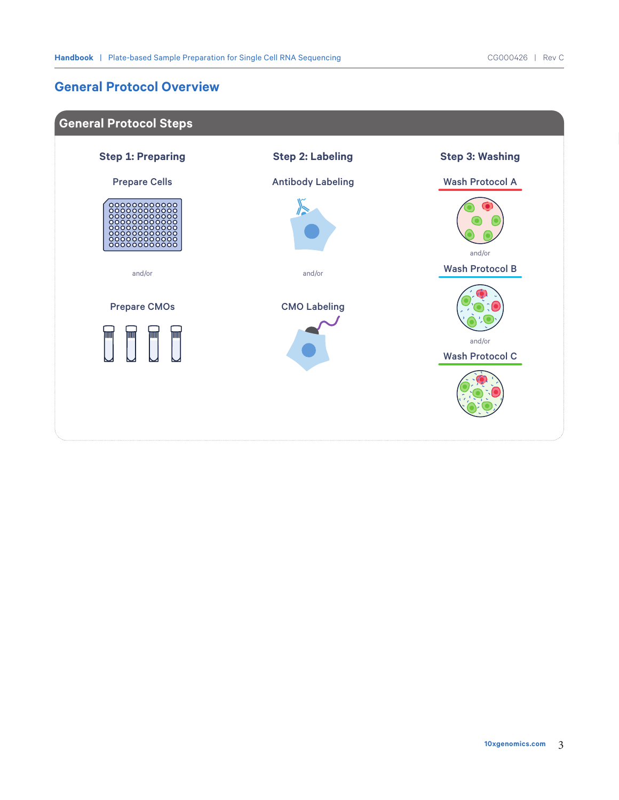## **General Protocol Overview**

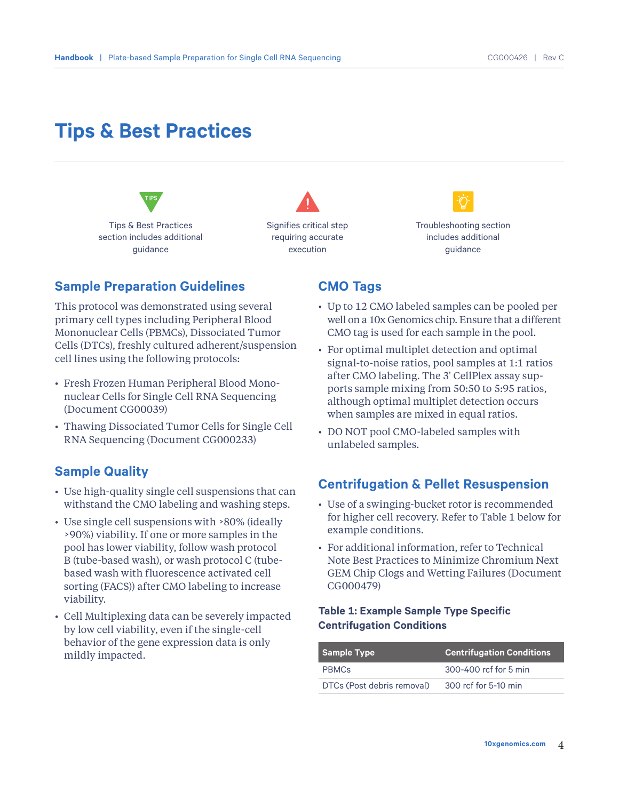## **Tips & Best Practices**



Signifies critical step requiring accurate execution



Troubleshooting section includes additional guidance

### **Sample Preparation Guidelines**

This protocol was demonstrated using several primary cell types including Peripheral Blood Mononuclear Cells (PBMCs), Dissociated Tumor Cells (DTCs), freshly cultured adherent/suspension cell lines using the following protocols:

- Fresh Frozen Human Peripheral Blood Mononuclear Cells for Single Cell RNA Sequencing (Document CG00039)
- Thawing Dissociated Tumor Cells for Single Cell RNA Sequencing (Document CG000233)

## **Sample Quality**

- Use high-quality single cell suspensions that can withstand the CMO labeling and washing steps.
- Use single cell suspensions with >80% (ideally >90%) viability. If one or more samples in the pool has lower viability, follow wash protocol B (tube-based wash), or wash protocol C (tubebased wash with fluorescence activated cell sorting (FACS)) after CMO labeling to increase viability.
- Cell Multiplexing data can be severely impacted by low cell viability, even if the single-cell behavior of the gene expression data is only mildly impacted.

### **CMO Tags**

- Up to 12 CMO labeled samples can be pooled per well on a 10x Genomics chip. Ensure that a different CMO tag is used for each sample in the pool.
- For optimal multiplet detection and optimal signal-to-noise ratios, pool samples at 1:1 ratios after CMO labeling. The 3' CellPlex assay supports sample mixing from 50:50 to 5:95 ratios, although optimal multiplet detection occurs when samples are mixed in equal ratios.
- DO NOT pool CMO-labeled samples with unlabeled samples.

### **Centrifugation & Pellet Resuspension**

- Use of a swinging-bucket rotor is recommended for higher cell recovery. Refer to Table 1 below for example conditions.
- For additional information, refer to Technical Note Best Practices to Minimize Chromium Next GEM Chip Clogs and Wetting Failures (Document CG000479)

### **Table 1: Example Sample Type Specific Centrifugation Conditions**

| <b>Sample Type</b>         | Centrifugation Conditions |
|----------------------------|---------------------------|
| <b>PRMCs</b>               | 300-400 ref for 5 min     |
| DTCs (Post debris removal) | 300 rcf for 5-10 min      |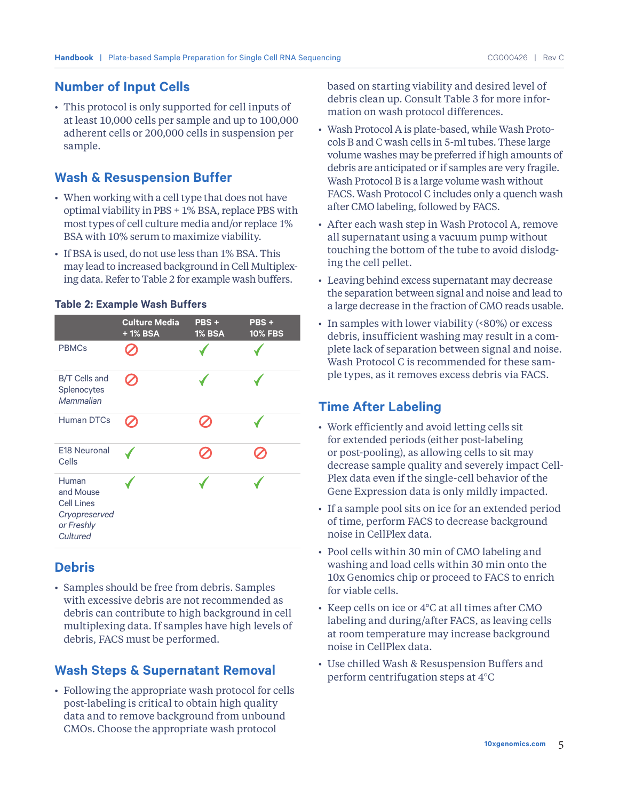## **Number of Input Cells**

• This protocol is only supported for cell inputs of at least 10,000 cells per sample and up to 100,000 adherent cells or 200,000 cells in suspension per sample.

## **Wash & Resuspension Buffer**

- When working with a cell type that does not have optimal viability in PBS + 1% BSA, replace PBS with most types of cell culture media and/or replace 1% BSA with 10% serum to maximize viability.
- If BSA is used, do not use less than 1% BSA. This may lead to increased background in Cell Multiplexing data. Refer to Table 2 for example wash buffers.

|                                                                                    | <b>Culture Media</b><br>+1% BSA | PBS+<br><b>1% BSA</b> | PBS+<br><b>10% FBS</b> |
|------------------------------------------------------------------------------------|---------------------------------|-----------------------|------------------------|
| <b>PBMCs</b>                                                                       |                                 |                       |                        |
| <b>B/T Cells and</b><br>Splenocytes<br>Mammalian                                   |                                 |                       |                        |
| <b>Human DTCs</b>                                                                  |                                 |                       |                        |
| E18 Neuronal<br>Cells                                                              |                                 |                       |                        |
| Human<br>and Mouse<br><b>Cell Lines</b><br>Cryopreserved<br>or Freshly<br>Cultured |                                 |                       |                        |

### **Table 2: Example Wash Buffers**

## **Debris**

• Samples should be free from debris. Samples with excessive debris are not recommended as debris can contribute to high background in cell multiplexing data. If samples have high levels of debris, FACS must be performed.

## **Wash Steps & Supernatant Removal**

• Following the appropriate wash protocol for cells post-labeling is critical to obtain high quality data and to remove background from unbound CMOs. Choose the appropriate wash protocol

based on starting viability and desired level of debris clean up. Consult Table 3 for more information on wash protocol differences.

- Wash Protocol A is plate-based, while Wash Protocols B and C wash cells in 5-ml tubes. These large volume washes may be preferred if high amounts of debris are anticipated or if samples are very fragile. Wash Protocol B is a large volume wash without FACS. Wash Protocol C includes only a quench wash after CMO labeling, followed by FACS.
- After each wash step in Wash Protocol A, remove all supernatant using a vacuum pump without touching the bottom of the tube to avoid dislodging the cell pellet.
- Leaving behind excess supernatant may decrease the separation between signal and noise and lead to a large decrease in the fraction of CMO reads usable.
- In samples with lower viability (<80%) or excess debris, insufficient washing may result in a complete lack of separation between signal and noise. Wash Protocol C is recommended for these sample types, as it removes excess debris via FACS.

## **Time After Labeling**

- Work efficiently and avoid letting cells sit for extended periods (either post-labeling or post-pooling), as allowing cells to sit may decrease sample quality and severely impact Cell-Plex data even if the single-cell behavior of the Gene Expression data is only mildly impacted.
- If a sample pool sits on ice for an extended period of time, perform FACS to decrease background noise in CellPlex data.
- Pool cells within 30 min of CMO labeling and washing and load cells within 30 min onto the 10x Genomics chip or proceed to FACS to enrich for viable cells.
- Keep cells on ice or 4°C at all times after CMO labeling and during/after FACS, as leaving cells at room temperature may increase background noise in CellPlex data.
- Use chilled Wash & Resuspension Buffers and perform centrifugation steps at 4°C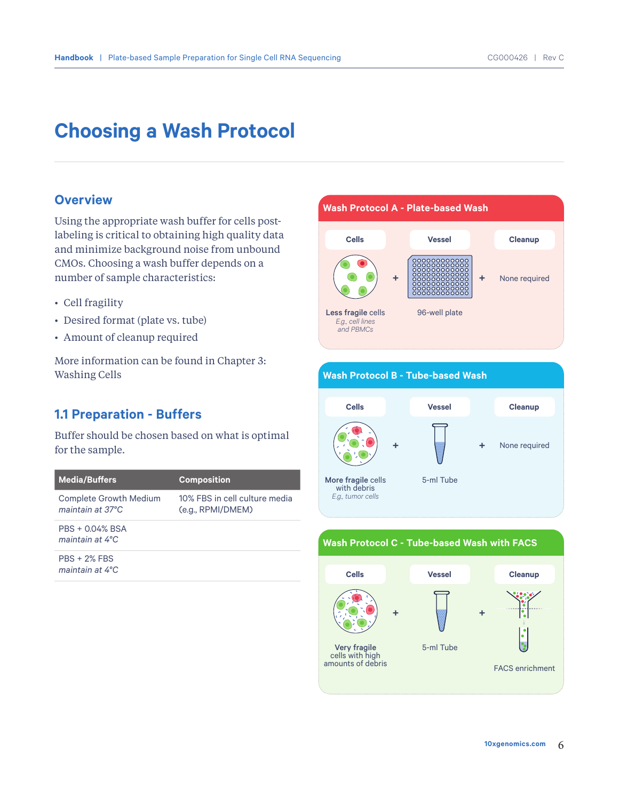## **Choosing a Wash Protocol**

### **Overview**

Using the appropriate wash buffer for cells postlabeling is critical to obtaining high quality data and minimize background noise from unbound CMOs. Choosing a wash buffer depends on a number of sample characteristics:

- Cell fragility
- Desired format (plate vs. tube)
- Amount of cleanup required

More information can be found in Chapter 3: Washing Cells

## **1.1 Preparation - Buffers**

Buffer should be chosen based on what is optimal for the sample.

| <b>Media/Buffers</b>                              | <b>Composition</b>                                 |
|---------------------------------------------------|----------------------------------------------------|
| <b>Complete Growth Medium</b><br>maintain at 37°C | 10% FBS in cell culture media<br>(e.g., RPMI/DMEM) |
| PBS + 0.04% BSA<br>maintain at $4^{\circ}$ C      |                                                    |
| $PRS + 2\%$ FBS<br>maintain at 4°C                |                                                    |





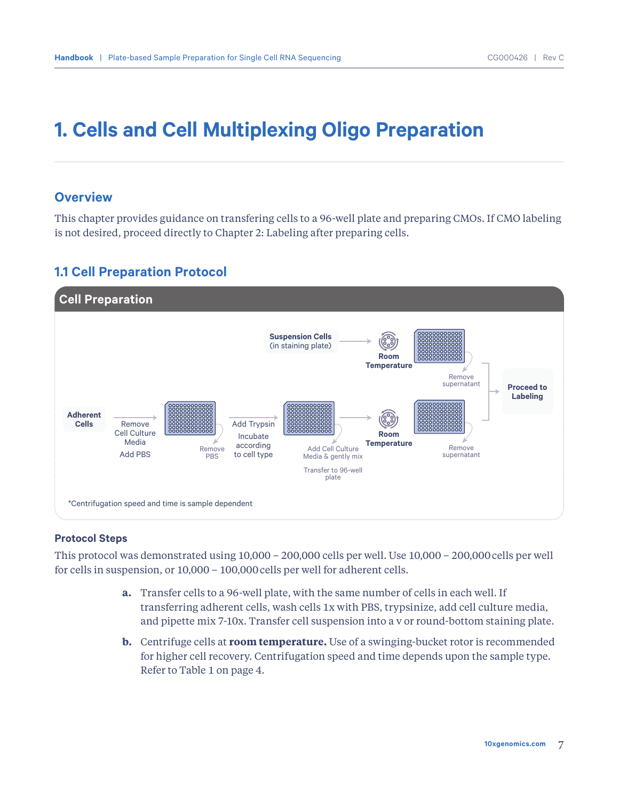# **1. Cells and Cell Multiplexing Oligo Preparation**

### **Overview**

This chapter provides guidance on transfering cells to a 96-well plate and preparing CMOs. If CMO labeling is not desired, proceed directly to Chapter 2: Labeling after preparing cells.

### **1.1 Cell Preparation Protocol**



### **Protocol Steps**

This protocol was demonstrated using 10,000 – 200,000 cells per well. Use 10,000 – 200,000cells per well for cells in suspension, or 10,000 – 100,000cells per well for adherent cells.

- **a.** Transfer cells to a 96-well plate, with the same number of cells in each well. If transferring adherent cells, wash cells 1x with PBS, trypsinize, add cell culture media, and pipette mix 7-10x. Transfer cell suspension into a v or round-bottom staining plate.
- **b.** Centrifuge cells at **room temperature.** Use of a swinging-bucket rotor is recommended for higher cell recovery. Centrifugation speed and time depends upon the sample type. Refer to Table 1 on page 4.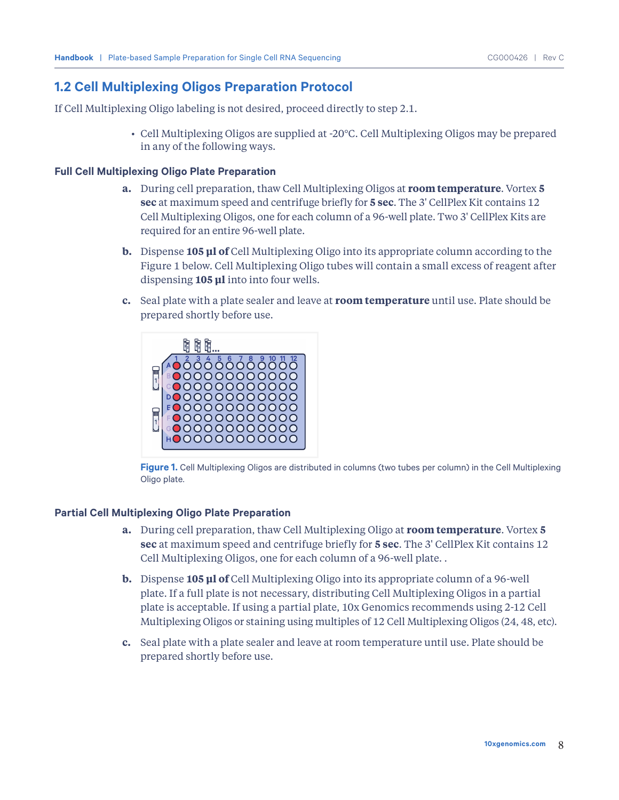## **1.2 Cell Multiplexing Oligos Preparation Protocol**

If Cell Multiplexing Oligo labeling is not desired, proceed directly to step 2.1.

• Cell Multiplexing Oligos are supplied at -20°C. Cell Multiplexing Oligos may be prepared in any of the following ways.

### **Full Cell Multiplexing Oligo Plate Preparation**

- **a.** During cell preparation, thaw Cell Multiplexing Oligos at **room temperature**. Vortex **5 sec** at maximum speed and centrifuge briefly for **5 sec**. The 3' CellPlex Kit contains 12 Cell Multiplexing Oligos, one for each column of a 96-well plate. Two 3' CellPlex Kits are required for an entire 96-well plate.
- **b.** Dispense **105 µl of** Cell Multiplexing Oligo into its appropriate column according to the Figure 1 below. Cell Multiplexing Oligo tubes will contain a small excess of reagent after dispensing **105 µl** into into four wells.
- **c.** Seal plate with a plate sealer and leave at **room temperature** until use. Plate should be prepared shortly before use.



**Figure 1.** Cell Multiplexing Oligos are distributed in columns (two tubes per column) in the Cell Multiplexing Oligo plate.

### **Partial Cell Multiplexing Oligo Plate Preparation**

- **a.** During cell preparation, thaw Cell Multiplexing Oligo at **room temperature**. Vortex **5 sec** at maximum speed and centrifuge briefly for **5 sec**. The 3' CellPlex Kit contains 12 Cell Multiplexing Oligos, one for each column of a 96-well plate. .
- **b.** Dispense **105 µl of** Cell Multiplexing Oligo into its appropriate column of a 96-well plate. If a full plate is not necessary, distributing Cell Multiplexing Oligos in a partial plate is acceptable. If using a partial plate, 10x Genomics recommends using 2-12 Cell Multiplexing Oligos or staining using multiples of 12 Cell Multiplexing Oligos (24, 48, etc).
- **c.** Seal plate with a plate sealer and leave at room temperature until use. Plate should be prepared shortly before use.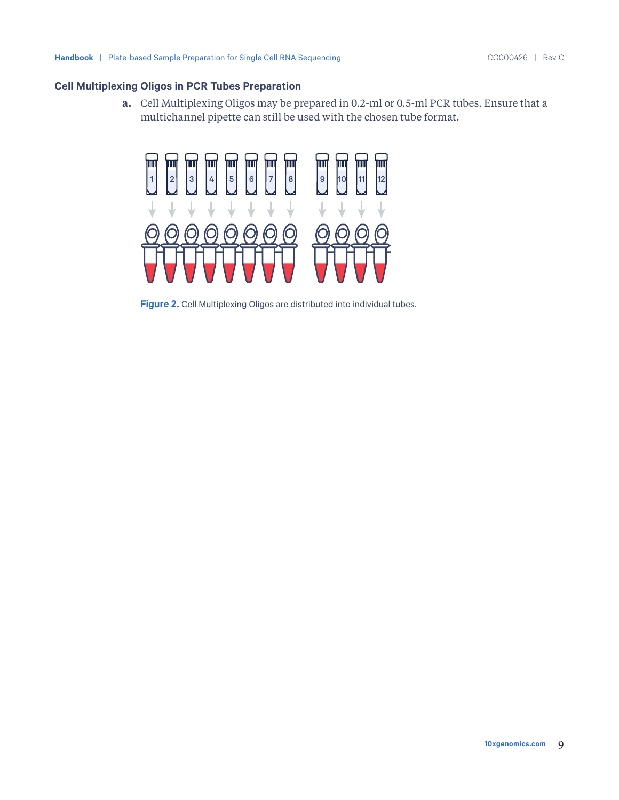### **Cell Multiplexing Oligos in PCR Tubes Preparation**

**a.** Cell Multiplexing Oligos may be prepared in 0.2-ml or 0.5-ml PCR tubes. Ensure that a multichannel pipette can still be used with the chosen tube format.



**Figure 2.** Cell Multiplexing Oligos are distributed into individual tubes.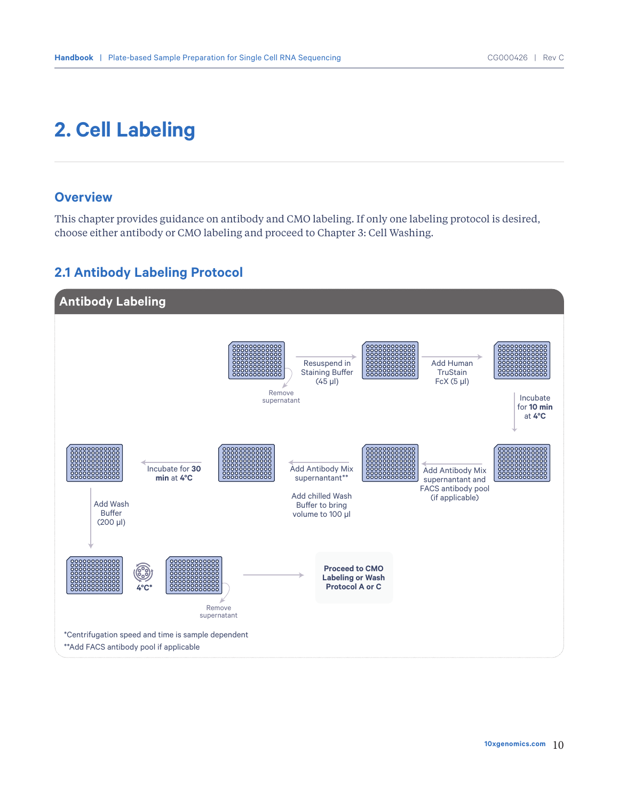# **2. Cell Labeling**

## **Overview**

This chapter provides guidance on antibody and CMO labeling. If only one labeling protocol is desired, choose either antibody or CMO labeling and proceed to Chapter 3: Cell Washing.

## **2.1 Antibody Labeling Protocol**

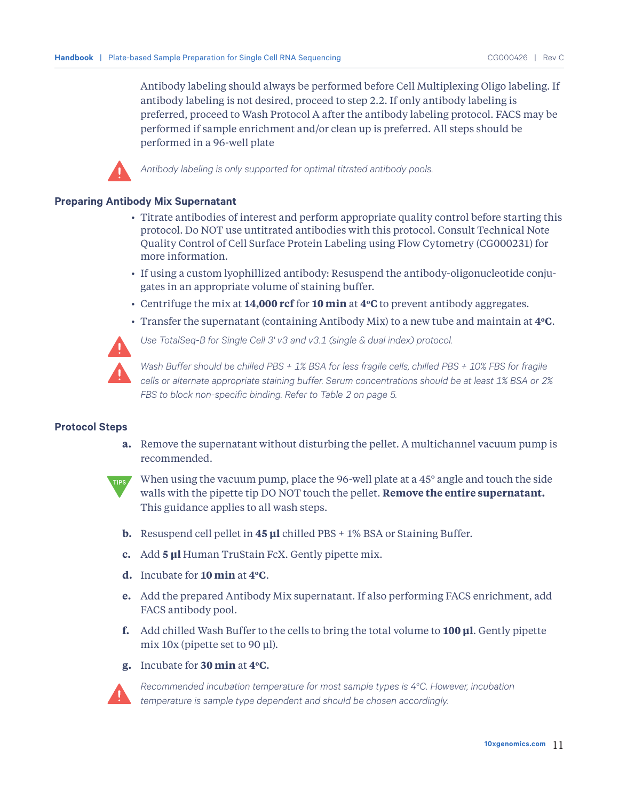Antibody labeling should always be performed before Cell Multiplexing Oligo labeling. If antibody labeling is not desired, proceed to step 2.2. If only antibody labeling is preferred, proceed to Wash Protocol A after the antibody labeling protocol. FACS may be performed if sample enrichment and/or clean up is preferred. All steps should be performed in a 96-well plate



*Antibody labeling is only supported for optimal titrated antibody pools.*

#### **Preparing Antibody Mix Supernatant**

- Titrate antibodies of interest and perform appropriate quality control before starting this protocol. Do NOT use untitrated antibodies with this protocol. Consult Technical Note Quality Control of Cell Surface Protein Labeling using Flow Cytometry (CG000231) for more information.
- If using a custom lyophillized antibody: Resuspend the antibody-oligonucleotide conjugates in an appropriate volume of staining buffer.
- Centrifuge the mix at **14,000 rcf** for **10 min** at **4oC** to prevent antibody aggregates.
- Transfer the supernatant (containing Antibody Mix) to a new tube and maintain at **4oC**.



*Use TotalSeq-B for Single Cell 3' v3 and v3.1 (single & dual index) protocol.* 

*Wash Buffer should be chilled PBS + 1% BSA for less fragile cells, chilled PBS + 10% FBS for fragile cells or alternate appropriate staining buffer. Serum concentrations should be at least 1% BSA or 2% FBS to block non-specific binding. Refer to Table 2 on page 5.*

### **Protocol Steps**

**a.** Remove the supernatant without disturbing the pellet. A multichannel vacuum pump is recommended.



When using the vacuum pump, place the 96-well plate at a 45**°** angle and touch the side walls with the pipette tip DO NOT touch the pellet. **Remove the entire supernatant.**  This guidance applies to all wash steps.

- **b.** Resuspend cell pellet in **45 μl** chilled PBS + 1% BSA or Staining Buffer.
- **c.** Add **5 μl** Human TruStain FcX. Gently pipette mix.
- **d.** Incubate for **10 min** at **4oC**.
- **e.** Add the prepared Antibody Mix supernatant. If also performing FACS enrichment, add FACS antibody pool.
- **f.** Add chilled Wash Buffer to the cells to bring the total volume to **100 μl**. Gently pipette mix 10x (pipette set to 90 μl).

### **g.** Incubate for **30 min** at **4oC**.



Recommended incubation temperature for most sample types is 4°C. However, incubation *temperature is sample type dependent and should be chosen accordingly.*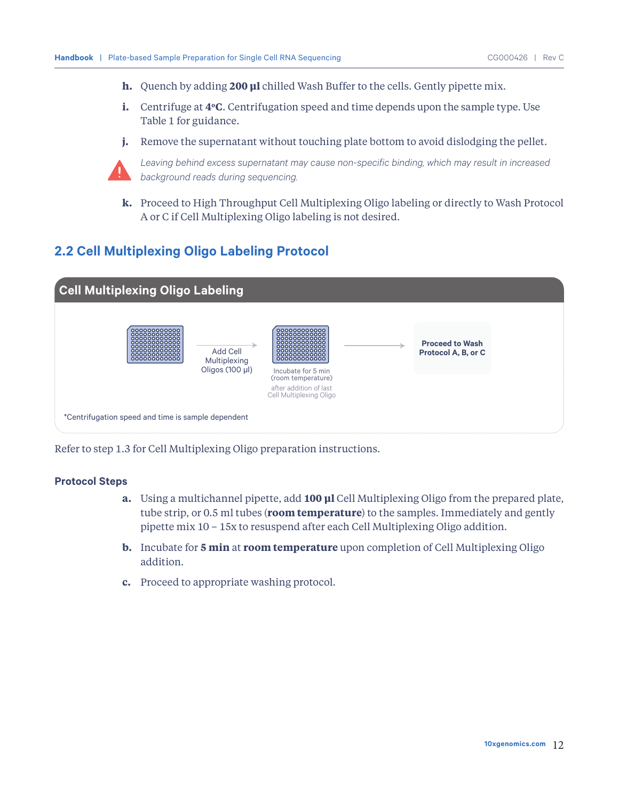- **h.** Quench by adding **200 μl** chilled Wash Buffer to the cells. Gently pipette mix.
- **i.** Centrifuge at **4<sup>o</sup>C**. Centrifugation speed and time depends upon the sample type. Use Table 1 for guidance.
- **j.** Remove the supernatant without touching plate bottom to avoid dislodging the pellet.



*Leaving behind excess supernatant may cause non-specific binding, which may result in increased background reads during sequencing.* 

**k.** Proceed to High Throughput Cell Multiplexing Oligo labeling or directly to Wash Protocol A or C if Cell Multiplexing Oligo labeling is not desired.

## **2.2 Cell Multiplexing Oligo Labeling Protocol**



Refer to step 1.3 for Cell Multiplexing Oligo preparation instructions.

### **Protocol Steps**

- **a.** Using a multichannel pipette, add **100 µl** Cell Multiplexing Oligo from the prepared plate, tube strip, or 0.5 ml tubes (**room temperature**) to the samples. Immediately and gently pipette mix 10 – 15x to resuspend after each Cell Multiplexing Oligo addition.
- **b.** Incubate for **5 min** at **room temperature** upon completion of Cell Multiplexing Oligo addition.
- **c.** Proceed to appropriate washing protocol.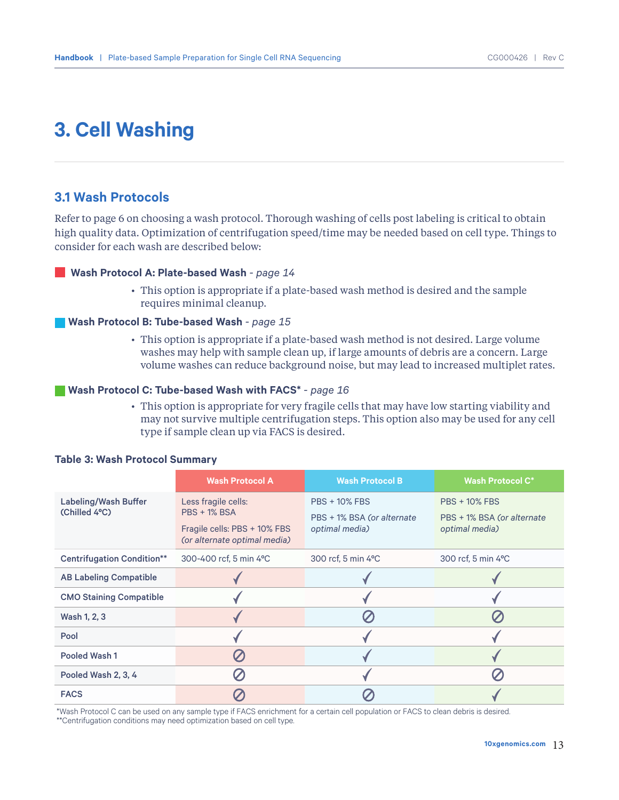# **3. Cell Washing**

### **3.1 Wash Protocols**

Refer to page 6 on choosing a wash protocol. Thorough washing of cells post labeling is critical to obtain high quality data. Optimization of centrifugation speed/time may be needed based on cell type. Things to consider for each wash are described below:

### **Wash Protocol A: Plate-based Wash** *- page 14*

• This option is appropriate if a plate-based wash method is desired and the sample requires minimal cleanup.

#### **Wash Protocol B: Tube-based Wash** *- page 15*

• This option is appropriate if a plate-based wash method is not desired. Large volume washes may help with sample clean up, if large amounts of debris are a concern. Large volume washes can reduce background noise, but may lead to increased multiplet rates.

### **Wash Protocol C: Tube-based Wash with FACS\*** *- page 16*

• This option is appropriate for very fragile cells that may have low starting viability and may not survive multiple centrifugation steps. This option also may be used for any cell type if sample clean up via FACS is desired.

|                                       | <b>Wash Protocol A</b>                                                                                     | <b>Wash Protocol B</b>                                               | <b>Wash Protocol C*</b>                                              |
|---------------------------------------|------------------------------------------------------------------------------------------------------------|----------------------------------------------------------------------|----------------------------------------------------------------------|
| Labeling/Wash Buffer<br>(Chilled 4°C) | Less fragile cells:<br><b>PBS + 1% BSA</b><br>Fragile cells: PBS + 10% FBS<br>(or alternate optimal media) | <b>PBS + 10% FBS</b><br>PBS + 1% BSA (or alternate<br>optimal media) | <b>PBS + 10% FBS</b><br>PBS + 1% BSA (or alternate<br>optimal media) |
| <b>Centrifugation Condition**</b>     | 300-400 rcf, 5 min 4°C                                                                                     | 300 rcf, 5 min 4°C                                                   | 300 rcf, 5 min 4°C                                                   |
| <b>AB Labeling Compatible</b>         |                                                                                                            |                                                                      |                                                                      |
| <b>CMO Staining Compatible</b>        |                                                                                                            |                                                                      |                                                                      |
| Wash 1, 2, 3                          |                                                                                                            |                                                                      |                                                                      |
| Pool                                  |                                                                                                            |                                                                      |                                                                      |
| Pooled Wash 1                         |                                                                                                            |                                                                      |                                                                      |
| Pooled Wash 2, 3, 4                   |                                                                                                            |                                                                      |                                                                      |
| <b>FACS</b>                           |                                                                                                            |                                                                      |                                                                      |

#### **Table 3: Wash Protocol Summary**

\*Wash Protocol C can be used on any sample type if FACS enrichment for a certain cell population or FACS to clean debris is desired.

\*\*Centrifugation conditions may need optimization based on cell type.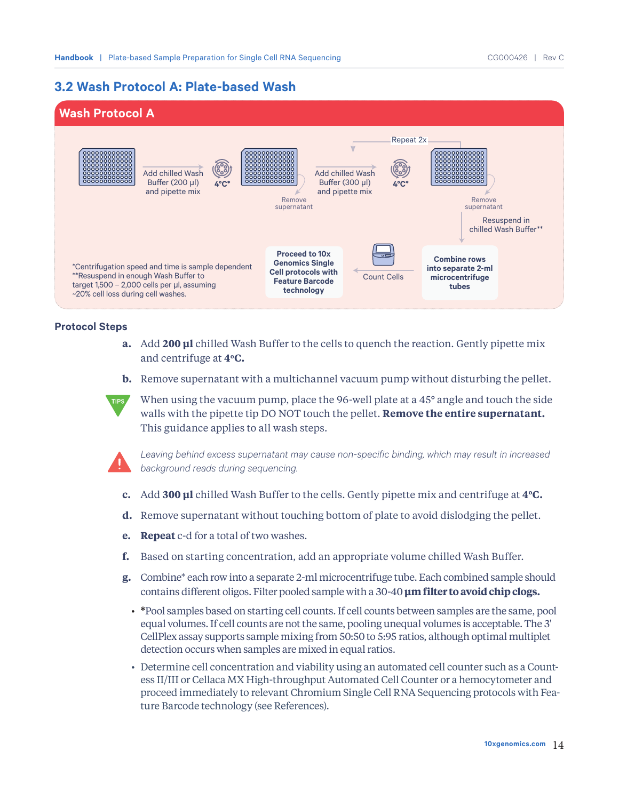## **3.2 Wash Protocol A: Plate-based Wash**



### **Protocol Steps**

- **a.** Add **200 µl** chilled Wash Buffer to the cells to quench the reaction. Gently pipette mix and centrifuge at **4oC.**
- **b.** Remove supernatant with a multichannel vacuum pump without disturbing the pellet.





*Leaving behind excess supernatant may cause non-specific binding, which may result in increased background reads during sequencing.*

- **c.** Add **300 μl** chilled Wash Buffer to the cells. Gently pipette mix and centrifuge at **4oC.**
- **d.** Remove supernatant without touching bottom of plate to avoid dislodging the pellet.
- **e. Repeat** c-d for a total of two washes.
- **f.** Based on starting concentration, add an appropriate volume chilled Wash Buffer.
- **g.** Combine\* each row into a separate 2-ml microcentrifuge tube. Each combined sample should contains different oligos. Filter pooled sample with a 30-40 **µm filter to avoid chip clogs.**
	- **\***Pool samples based on starting cell counts. If cell counts between samples are the same, pool equal volumes. If cell counts are not the same, pooling unequal volumes is acceptable. The 3' CellPlex assay supports sample mixing from 50:50 to 5:95 ratios, although optimal multiplet detection occurs when samples are mixed in equal ratios.
	- Determine cell concentration and viability using an automated cell counter such as a Countess II/III or Cellaca MX High-throughput Automated Cell Counter or a hemocytometer and proceed immediately to relevant Chromium Single Cell RNA Sequencing protocols with Feature Barcode technology (see References).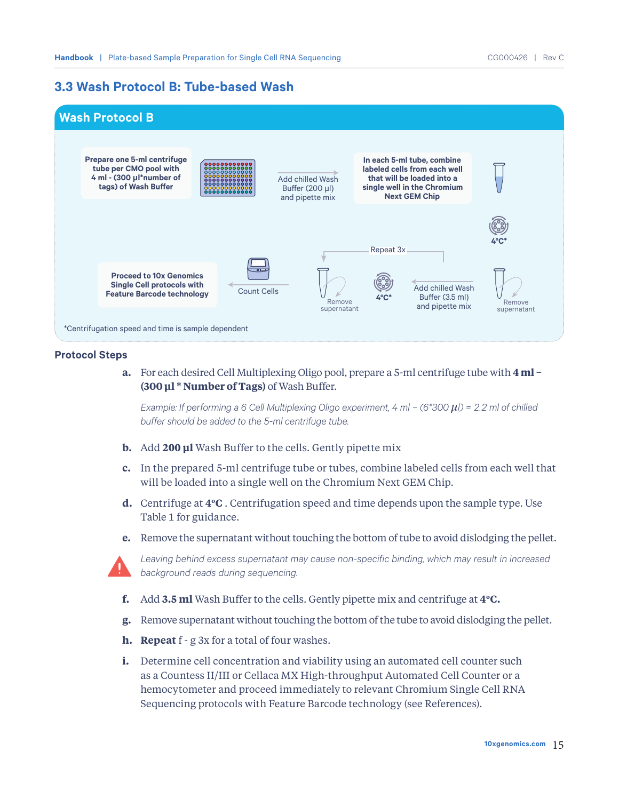## **3.3 Wash Protocol B: Tube-based Wash**



### **Protocol Steps**

**a.** For each desired Cell Multiplexing Oligo pool, prepare a 5-ml centrifuge tube with **4 ml − (300 μl \* Number of Tags)** of Wash Buffer.

*Example: If performing a 6 Cell Multiplexing Oligo experiment, 4 ml − (6\*300 μl) = 2.2 ml of chilled buffer should be added to the 5-ml centrifuge tube.*

- **b.** Add **200 μl** Wash Buffer to the cells. Gently pipette mix
- **c.** In the prepared 5-ml centrifuge tube or tubes, combine labeled cells from each well that will be loaded into a single well on the Chromium Next GEM Chip.
- **d.** Centrifuge at **4oC** . Centrifugation speed and time depends upon the sample type. Use Table 1 for guidance.
- **e.** Remove the supernatant without touching the bottom of tube to avoid dislodging the pellet.



*Leaving behind excess supernatant may cause non-specific binding, which may result in increased background reads during sequencing.* 

- **f.** Add **3.5 ml** Wash Buffer to the cells. Gently pipette mix and centrifuge at **4oC.**
- **g.** Remove supernatant without touching the bottom of the tube to avoid dislodging the pellet.
- **h. Repeat** f g 3x for a total of four washes.
- **i.** Determine cell concentration and viability using an automated cell counter such as a Countess II/III or Cellaca MX High-throughput Automated Cell Counter or a hemocytometer and proceed immediately to relevant Chromium Single Cell RNA Sequencing protocols with Feature Barcode technology (see References).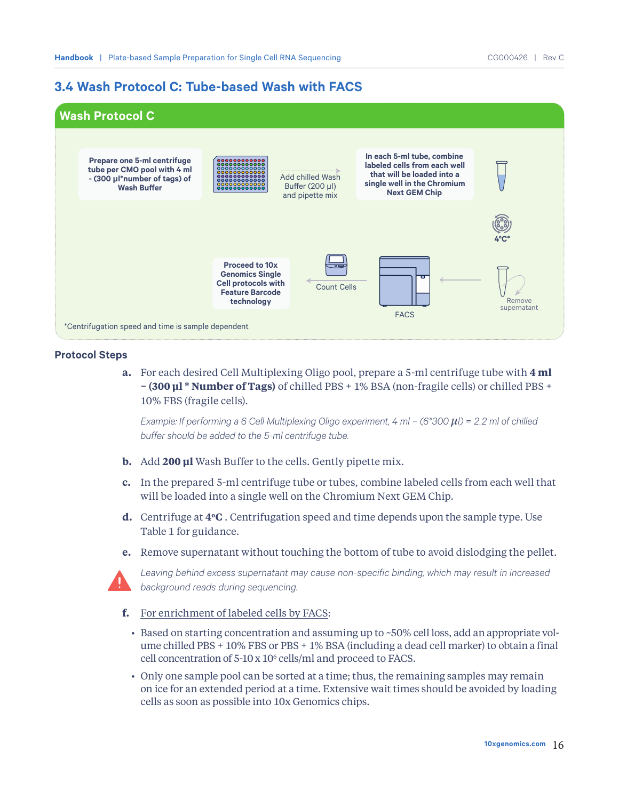## **3.4 Wash Protocol C: Tube-based Wash with FACS**



### **Protocol Steps**

**a.** For each desired Cell Multiplexing Oligo pool, prepare a 5-ml centrifuge tube with **4 ml − (300 μl \* Number of Tags)** of chilled PBS + 1% BSA (non-fragile cells) or chilled PBS + 10% FBS (fragile cells).

*Example: If performing a 6 Cell Multiplexing Oligo experiment, 4 ml − (6\*300*  $\mu$ *<i>l) = 2.2 ml of chilled buffer should be added to the 5-ml centrifuge tube.*

- **b.** Add **200 μl** Wash Buffer to the cells. Gently pipette mix.
- **c.** In the prepared 5-ml centrifuge tube or tubes, combine labeled cells from each well that will be loaded into a single well on the Chromium Next GEM Chip.
- **d.** Centrifuge at **4oC** . Centrifugation speed and time depends upon the sample type. Use Table 1 for guidance.
- **e.** Remove supernatant without touching the bottom of tube to avoid dislodging the pellet.



*Leaving behind excess supernatant may cause non-specific binding, which may result in increased background reads during sequencing.* 

- **f.** For enrichment of labeled cells by FACS:
	- Based on starting concentration and assuming up to ~50% cell loss, add an appropriate volume chilled PBS + 10% FBS or PBS + 1% BSA (including a dead cell marker) to obtain a final cell concentration of 5-10 x 106 cells/ml and proceed to FACS.
	- Only one sample pool can be sorted at a time; thus, the remaining samples may remain on ice for an extended period at a time. Extensive wait times should be avoided by loading cells as soon as possible into 10x Genomics chips.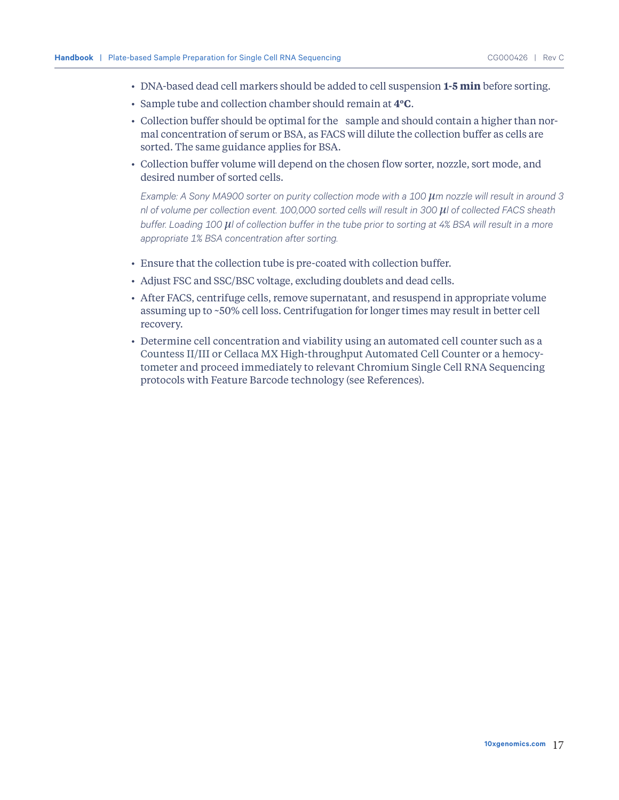- DNA-based dead cell markers should be added to cell suspension **1-5 min** before sorting.
- Sample tube and collection chamber should remain at **4oC**.
- Collection buffer should be optimal for the sample and should contain a higher than normal concentration of serum or BSA, as FACS will dilute the collection buffer as cells are sorted. The same guidance applies for BSA.
- Collection buffer volume will depend on the chosen flow sorter, nozzle, sort mode, and desired number of sorted cells.

*Example: A Sony MA900 sorter on purity collection mode with a 100 μm nozzle will result in around 3 nl of volume per collection event. 100,000 sorted cells will result in 300 μl of collected FACS sheath buffer. Loading 100 μl of collection buffer in the tube prior to sorting at 4% BSA will result in a more appropriate 1% BSA concentration after sorting.*

- Ensure that the collection tube is pre-coated with collection buffer.
- Adjust FSC and SSC/BSC voltage, excluding doublets and dead cells.
- After FACS, centrifuge cells, remove supernatant, and resuspend in appropriate volume assuming up to ~50% cell loss. Centrifugation for longer times may result in better cell recovery.
- Determine cell concentration and viability using an automated cell counter such as a Countess II/III or Cellaca MX High-throughput Automated Cell Counter or a hemocytometer and proceed immediately to relevant Chromium Single Cell RNA Sequencing protocols with Feature Barcode technology (see References).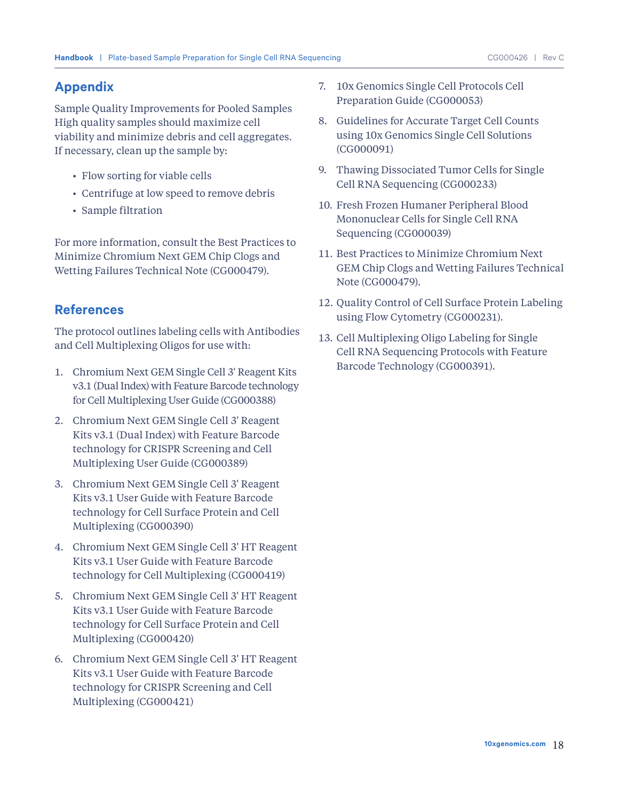## **Appendix**

Sample Quality Improvements for Pooled Samples High quality samples should maximize cell viability and minimize debris and cell aggregates. If necessary, clean up the sample by:

- Flow sorting for viable cells
- Centrifuge at low speed to remove debris
- Sample filtration

For more information, consult the Best Practices to Minimize Chromium Next GEM Chip Clogs and Wetting Failures Technical Note (CG000479).

## **References**

The protocol outlines labeling cells with Antibodies and Cell Multiplexing Oligos for use with:

- 1. Chromium Next GEM Single Cell 3' Reagent Kits v3.1 (Dual Index) with Feature Barcode technology for Cell Multiplexing User Guide (CG000388)
- 2. Chromium Next GEM Single Cell 3' Reagent Kits v3.1 (Dual Index) with Feature Barcode technology for CRISPR Screening and Cell Multiplexing User Guide (CG000389)
- 3. Chromium Next GEM Single Cell 3' Reagent Kits v3.1 User Guide with Feature Barcode technology for Cell Surface Protein and Cell Multiplexing (CG000390)
- 4. Chromium Next GEM Single Cell 3' HT Reagent Kits v3.1 User Guide with Feature Barcode technology for Cell Multiplexing (CG000419)
- 5. Chromium Next GEM Single Cell 3' HT Reagent Kits v3.1 User Guide with Feature Barcode technology for Cell Surface Protein and Cell Multiplexing (CG000420)
- 6. Chromium Next GEM Single Cell 3' HT Reagent Kits v3.1 User Guide with Feature Barcode technology for CRISPR Screening and Cell Multiplexing (CG000421)
- 7. 10x Genomics Single Cell Protocols Cell Preparation Guide (CG000053)
- 8. Guidelines for Accurate Target Cell Counts using 10x Genomics Single Cell Solutions (CG000091)
- 9. Thawing Dissociated Tumor Cells for Single Cell RNA Sequencing (CG000233)
- 10. Fresh Frozen Humaner Peripheral Blood Mononuclear Cells for Single Cell RNA Sequencing (CG000039)
- 11. Best Practices to Minimize Chromium Next GEM Chip Clogs and Wetting Failures Technical Note (CG000479).
- 12. Quality Control of Cell Surface Protein Labeling using Flow Cytometry (CG000231).
- 13. Cell Multiplexing Oligo Labeling for Single Cell RNA Sequencing Protocols with Feature Barcode Technology (CG000391).